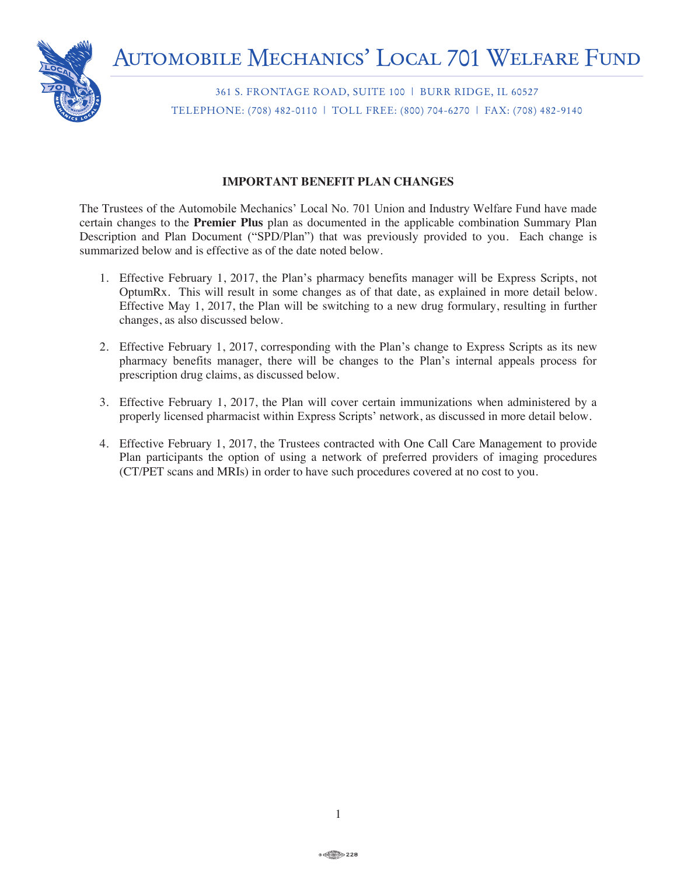

361 S. FRONTAGE ROAD, SUITE 100 | BURR RIDGE, IL 60527 TELEPHONE: (708) 482-0110 | TOLL FREE: (800) 704-6270 | FAX: (708) 482-9140

# **IMPORTANT BENEFIT PLAN CHANGES**

The Trustees of the Automobile Mechanics' Local No. 701 Union and Industry Welfare Fund have made certain changes to the **Premier Plus** plan as documented in the applicable combination Summary Plan Description and Plan Document ("SPD/Plan") that was previously provided to you. Each change is summarized below and is effective as of the date noted below.

- 1. Effective February 1, 2017, the Plan's pharmacy benefits manager will be Express Scripts, not OptumRx. This will result in some changes as of that date, as explained in more detail below. Effective May 1, 2017, the Plan will be switching to a new drug formulary, resulting in further changes, as also discussed below.
- 2. Effective February 1, 2017, corresponding with the Plan's change to Express Scripts as its new pharmacy benefits manager, there will be changes to the Plan's internal appeals process for prescription drug claims, as discussed below.
- 3. Effective February 1, 2017, the Plan will cover certain immunizations when administered by a properly licensed pharmacist within Express Scripts' network, as discussed in more detail below.
- 4. Effective February 1, 2017, the Trustees contracted with One Call Care Management to provide Plan participants the option of using a network of preferred providers of imaging procedures (CT/PET scans and MRIs) in order to have such procedures covered at no cost to you.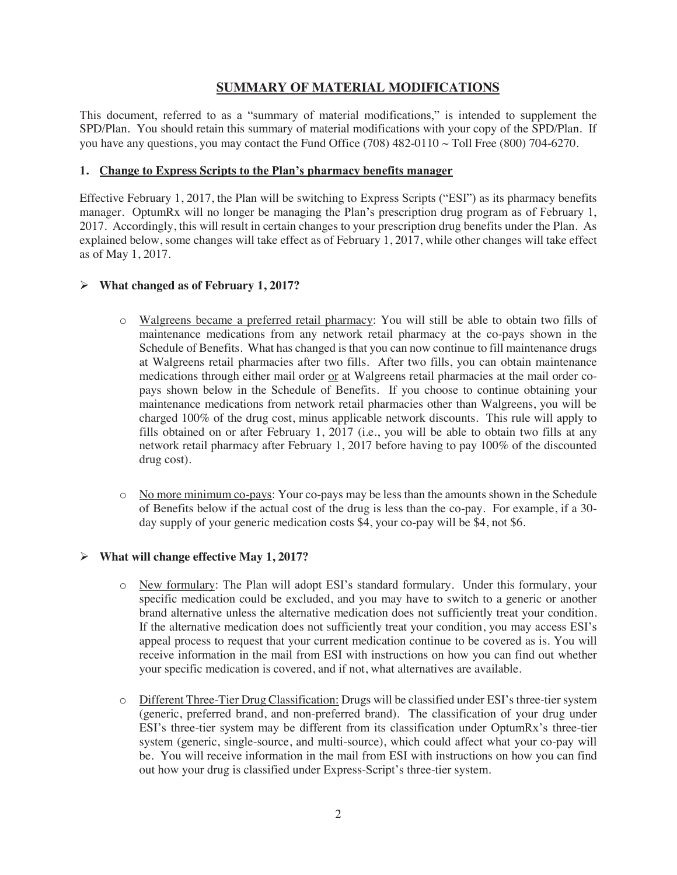# **SUMMARY OF MATERIAL MODIFICATIONS**

This document, referred to as a "summary of material modifications," is intended to supplement the SPD/Plan. You should retain this summary of material modifications with your copy of the SPD/Plan. If you have any questions, you may contact the Fund Office (708)  $482-0110 \sim$  Toll Free (800) 704-6270.

#### **1. Change to Express Scripts to the Plan's pharmacy benefits manager**

Effective February 1, 2017, the Plan will be switching to Express Scripts ("ESI") as its pharmacy benefits manager. OptumRx will no longer be managing the Plan's prescription drug program as of February 1, 2017. Accordingly, this will result in certain changes to your prescription drug benefits under the Plan. As explained below, some changes will take effect as of February 1, 2017, while other changes will take effect as of May 1, 2017.

### **What changed as of February 1, 2017?**

- o Walgreens became a preferred retail pharmacy: You will still be able to obtain two fills of maintenance medications from any network retail pharmacy at the co-pays shown in the Schedule of Benefits. What has changed is that you can now continue to fill maintenance drugs at Walgreens retail pharmacies after two fills. After two fills, you can obtain maintenance medications through either mail order or at Walgreens retail pharmacies at the mail order copays shown below in the Schedule of Benefits. If you choose to continue obtaining your maintenance medications from network retail pharmacies other than Walgreens, you will be charged 100% of the drug cost, minus applicable network discounts. This rule will apply to fills obtained on or after February 1, 2017 (i.e., you will be able to obtain two fills at any network retail pharmacy after February 1, 2017 before having to pay 100% of the discounted drug cost).
- o No more minimum co-pays: Your co-pays may be less than the amounts shown in the Schedule of Benefits below if the actual cost of the drug is less than the co-pay. For example, if a 30 day supply of your generic medication costs \$4, your co-pay will be \$4, not \$6.

#### **What will change effective May 1, 2017?**

- o New formulary: The Plan will adopt ESI's standard formulary. Under this formulary, your specific medication could be excluded, and you may have to switch to a generic or another brand alternative unless the alternative medication does not sufficiently treat your condition. If the alternative medication does not sufficiently treat your condition, you may access ESI's appeal process to request that your current medication continue to be covered as is. You will receive information in the mail from ESI with instructions on how you can find out whether your specific medication is covered, and if not, what alternatives are available.
- o Different Three-Tier Drug Classification: Drugs will be classified under ESI's three-tier system (generic, preferred brand, and non-preferred brand). The classification of your drug under ESI's three-tier system may be different from its classification under OptumRx's three-tier system (generic, single-source, and multi-source), which could affect what your co-pay will be. You will receive information in the mail from ESI with instructions on how you can find out how your drug is classified under Express-Script's three-tier system.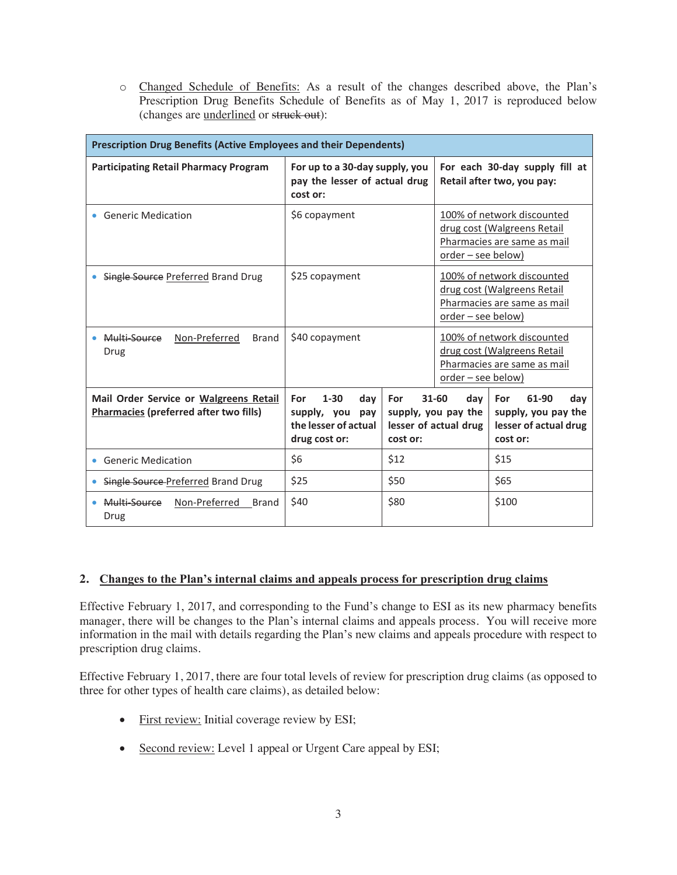o Changed Schedule of Benefits: As a result of the changes described above, the Plan's Prescription Drug Benefits Schedule of Benefits as of May 1, 2017 is reproduced below (changes are underlined or struck out):

| <b>Prescription Drug Benefits (Active Employees and their Dependents)</b>               |                                                                                    |                 |                                                                                                                       |                                                                                          |  |  |  |
|-----------------------------------------------------------------------------------------|------------------------------------------------------------------------------------|-----------------|-----------------------------------------------------------------------------------------------------------------------|------------------------------------------------------------------------------------------|--|--|--|
| <b>Participating Retail Pharmacy Program</b>                                            | For up to a 30-day supply, you<br>pay the lesser of actual drug<br>cost or:        |                 | For each 30-day supply fill at<br>Retail after two, you pay:                                                          |                                                                                          |  |  |  |
| <b>Generic Medication</b>                                                               | \$6 copayment                                                                      |                 | $order - see below)$                                                                                                  | 100% of network discounted<br>drug cost (Walgreens Retail<br>Pharmacies are same as mail |  |  |  |
| Single Source Preferred Brand Drug                                                      | \$25 copayment                                                                     |                 | 100% of network discounted<br>drug cost (Walgreens Retail<br>Pharmacies are same as mail<br><u>order – see below)</u> |                                                                                          |  |  |  |
| Multi-Source<br>Non-Preferred<br><b>Brand</b><br>Drug                                   | \$40 copayment                                                                     |                 | 100% of network discounted<br>drug cost (Walgreens Retail<br>Pharmacies are same as mail<br>order - see below)        |                                                                                          |  |  |  |
| Mail Order Service or Walgreens Retail<br><b>Pharmacies (preferred after two fills)</b> | $1 - 30$<br>dav<br>For<br>supply, you pay<br>the lesser of actual<br>drug cost or: | For<br>cost or: | $31 - 60$<br>dav<br>supply, you pay the<br>lesser of actual drug                                                      | For<br>61-90<br>dav<br>supply, you pay the<br>lesser of actual drug<br>cost or:          |  |  |  |
| <b>Generic Medication</b><br>۰                                                          | \$6                                                                                | \$12            |                                                                                                                       | \$15                                                                                     |  |  |  |
| Single Source Preferred Brand Drug                                                      | \$25                                                                               | \$50            |                                                                                                                       | \$65                                                                                     |  |  |  |
| Multi-Source<br>Non-Preferred<br>Brand<br>Drug                                          | \$40                                                                               | \$80            |                                                                                                                       | \$100                                                                                    |  |  |  |

## **2. Changes to the Plan's internal claims and appeals process for prescription drug claims**

Effective February 1, 2017, and corresponding to the Fund's change to ESI as its new pharmacy benefits manager, there will be changes to the Plan's internal claims and appeals process. You will receive more information in the mail with details regarding the Plan's new claims and appeals procedure with respect to prescription drug claims.

Effective February 1, 2017, there are four total levels of review for prescription drug claims (as opposed to three for other types of health care claims), as detailed below:

- First review: Initial coverage review by ESI;
- Second review: Level 1 appeal or Urgent Care appeal by ESI;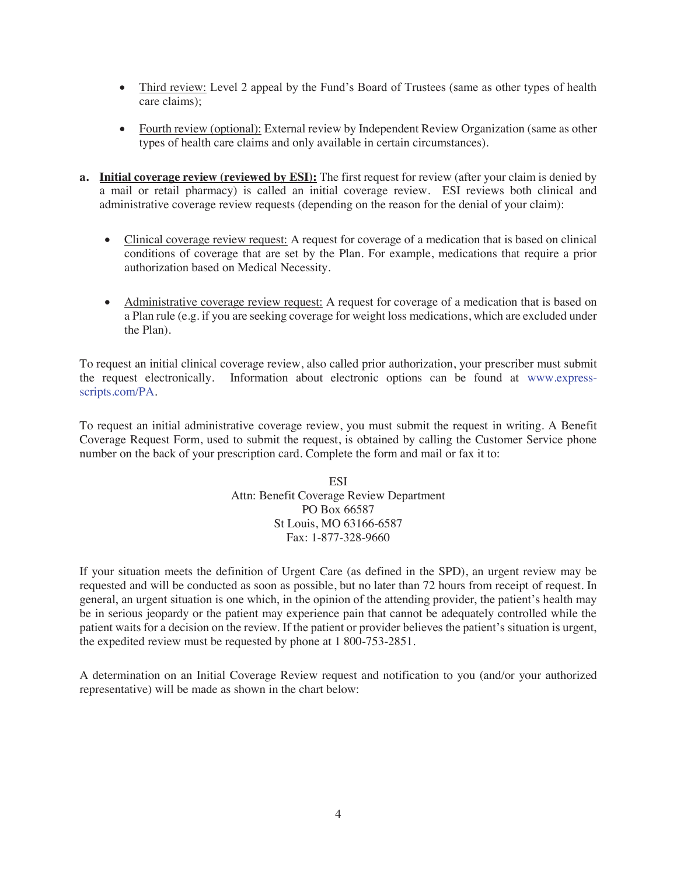- Third review: Level 2 appeal by the Fund's Board of Trustees (same as other types of health care claims);
- Fourth review (optional): External review by Independent Review Organization (same as other types of health care claims and only available in certain circumstances).
- **a. Initial coverage review (reviewed by ESI):** The first request for review (after your claim is denied by a mail or retail pharmacy) is called an initial coverage review. ESI reviews both clinical and administrative coverage review requests (depending on the reason for the denial of your claim):
	- Clinical coverage review request: A request for coverage of a medication that is based on clinical conditions of coverage that are set by the Plan. For example, medications that require a prior authorization based on Medical Necessity.
	- Administrative coverage review request: A request for coverage of a medication that is based on a Plan rule (e.g. if you are seeking coverage for weight loss medications, which are excluded under the Plan).

To request an initial clinical coverage review, also called prior authorization, your prescriber must submit the request electronically. Information about electronic options can be found at www.expressscripts.com/PA.

To request an initial administrative coverage review, you must submit the request in writing. A Benefit Coverage Request Form, used to submit the request, is obtained by calling the Customer Service phone number on the back of your prescription card. Complete the form and mail or fax it to:

> ESI Attn: Benefit Coverage Review Department PO Box 66587 St Louis, MO 63166-6587 Fax: 1-877-328-9660

If your situation meets the definition of Urgent Care (as defined in the SPD), an urgent review may be requested and will be conducted as soon as possible, but no later than 72 hours from receipt of request. In general, an urgent situation is one which, in the opinion of the attending provider, the patient's health may be in serious jeopardy or the patient may experience pain that cannot be adequately controlled while the patient waits for a decision on the review. If the patient or provider believes the patient's situation is urgent, the expedited review must be requested by phone at 1 800-753-2851.

A determination on an Initial Coverage Review request and notification to you (and/or your authorized representative) will be made as shown in the chart below: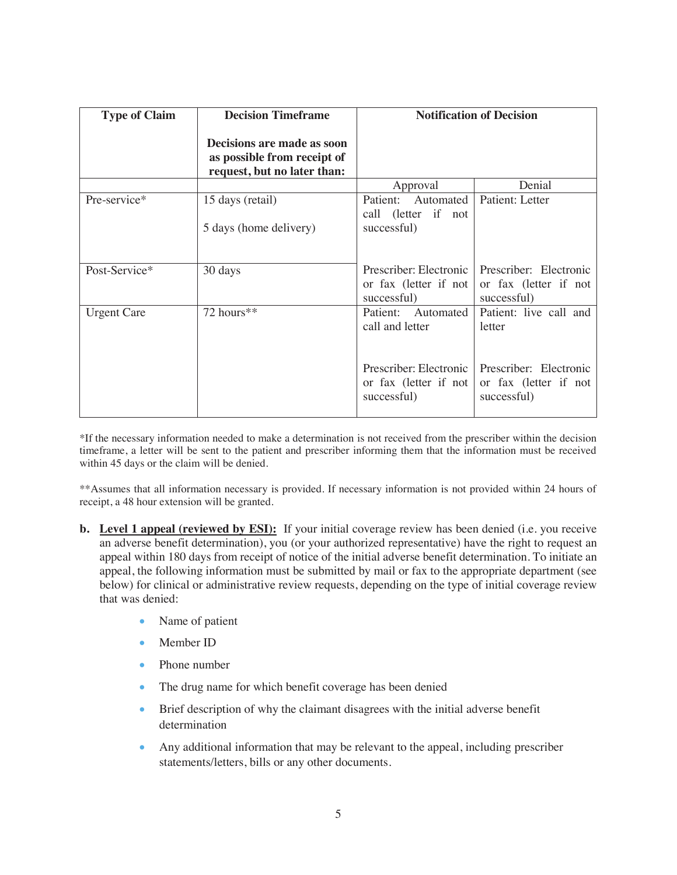| <b>Type of Claim</b> | <b>Decision Timeframe</b>                                                                | <b>Notification of Decision</b>                                  |                                                                |  |
|----------------------|------------------------------------------------------------------------------------------|------------------------------------------------------------------|----------------------------------------------------------------|--|
|                      | Decisions are made as soon<br>as possible from receipt of<br>request, but no later than: |                                                                  |                                                                |  |
|                      |                                                                                          | Approval                                                         | Denial                                                         |  |
| Pre-service*         | 15 days (retail)                                                                         | Patient: Automated<br>call (letter if not                        | Patient: Letter                                                |  |
|                      | 5 days (home delivery)                                                                   | successful)                                                      |                                                                |  |
| Post-Service*        | 30 days                                                                                  | Prescriber: Electronic<br>or fax (letter if not<br>successful)   | Prescriber: Electronic<br>or fax (letter if not<br>successful) |  |
| <b>Urgent Care</b>   | 72 hours**                                                                               | Patient: Automated<br>call and letter                            | Patient: live call and<br>letter                               |  |
|                      |                                                                                          | Prescriber: Electronic 1<br>or fax (letter if not<br>successful) | Prescriber: Electronic<br>or fax (letter if not<br>successful) |  |

\*If the necessary information needed to make a determination is not received from the prescriber within the decision timeframe, a letter will be sent to the patient and prescriber informing them that the information must be received within 45 days or the claim will be denied.

\*\*Assumes that all information necessary is provided. If necessary information is not provided within 24 hours of receipt, a 48 hour extension will be granted.

- **b.** Level 1 appeal (reviewed by ESI): If your initial coverage review has been denied (i.e. you receive an adverse benefit determination), you (or your authorized representative) have the right to request an appeal within 180 days from receipt of notice of the initial adverse benefit determination. To initiate an appeal, the following information must be submitted by mail or fax to the appropriate department (see below) for clinical or administrative review requests, depending on the type of initial coverage review that was denied:
	- Name of patient
	- Member ID
	- Phone number
	- The drug name for which benefit coverage has been denied
	- Brief description of why the claimant disagrees with the initial adverse benefit determination
	- Any additional information that may be relevant to the appeal, including prescriber statements/letters, bills or any other documents.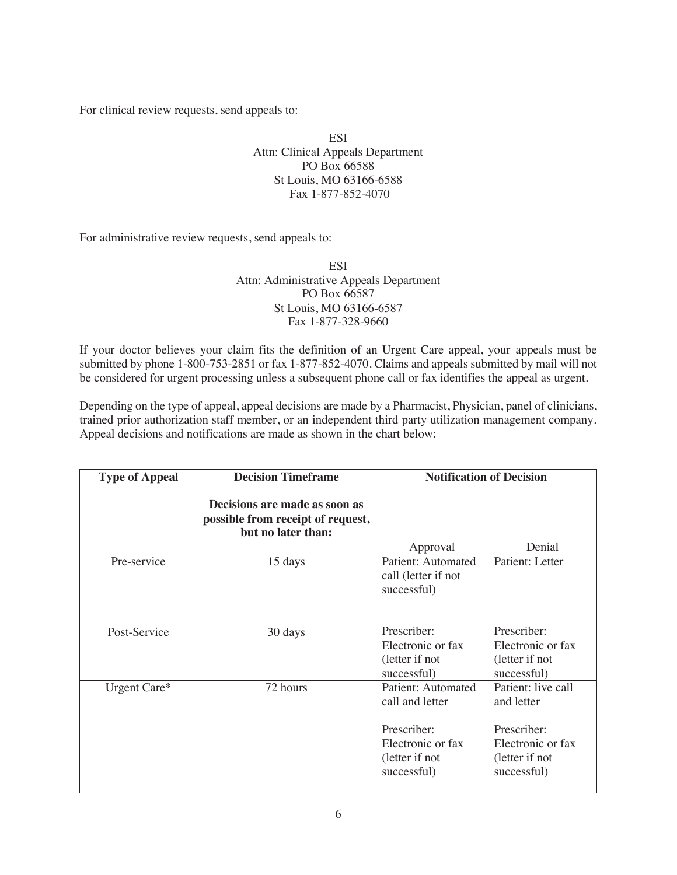For clinical review requests, send appeals to:

ESI Attn: Clinical Appeals Department PO Box 66588 St Louis, MO 63166-6588 Fax 1-877-852-4070

For administrative review requests, send appeals to:

**ESI** Attn: Administrative Appeals Department PO Box 66587 St Louis, MO 63166-6587 Fax 1-877-328-9660

If your doctor believes your claim fits the definition of an Urgent Care appeal, your appeals must be submitted by phone 1-800-753-2851 or fax 1-877-852-4070. Claims and appeals submitted by mail will not be considered for urgent processing unless a subsequent phone call or fax identifies the appeal as urgent.

Depending on the type of appeal, appeal decisions are made by a Pharmacist, Physician, panel of clinicians, trained prior authorization staff member, or an independent third party utilization management company. Appeal decisions and notifications are made as shown in the chart below:

| <b>Type of Appeal</b> | <b>Decision Timeframe</b>                                                                | <b>Notification of Decision</b>                                   |                                                                   |
|-----------------------|------------------------------------------------------------------------------------------|-------------------------------------------------------------------|-------------------------------------------------------------------|
|                       | Decisions are made as soon as<br>possible from receipt of request,<br>but no later than: |                                                                   |                                                                   |
|                       |                                                                                          | Approval                                                          | Denial                                                            |
| Pre-service           | 15 days                                                                                  | Patient: Automated<br>call (letter if not<br>successful)          | Patient: Letter                                                   |
| Post-Service          | 30 days                                                                                  | Prescriber:                                                       | Prescriber:                                                       |
|                       |                                                                                          | Electronic or fax<br>(letter if not<br>successful)                | Electronic or fax<br>(letter if not<br>successful)                |
| Urgent Care*          | 72 hours                                                                                 | Patient: Automated<br>call and letter                             | Patient: live call<br>and letter                                  |
|                       |                                                                                          | Prescriber:<br>Electronic or fax<br>(letter if not<br>successful) | Prescriber:<br>Electronic or fax<br>(letter if not<br>successful) |